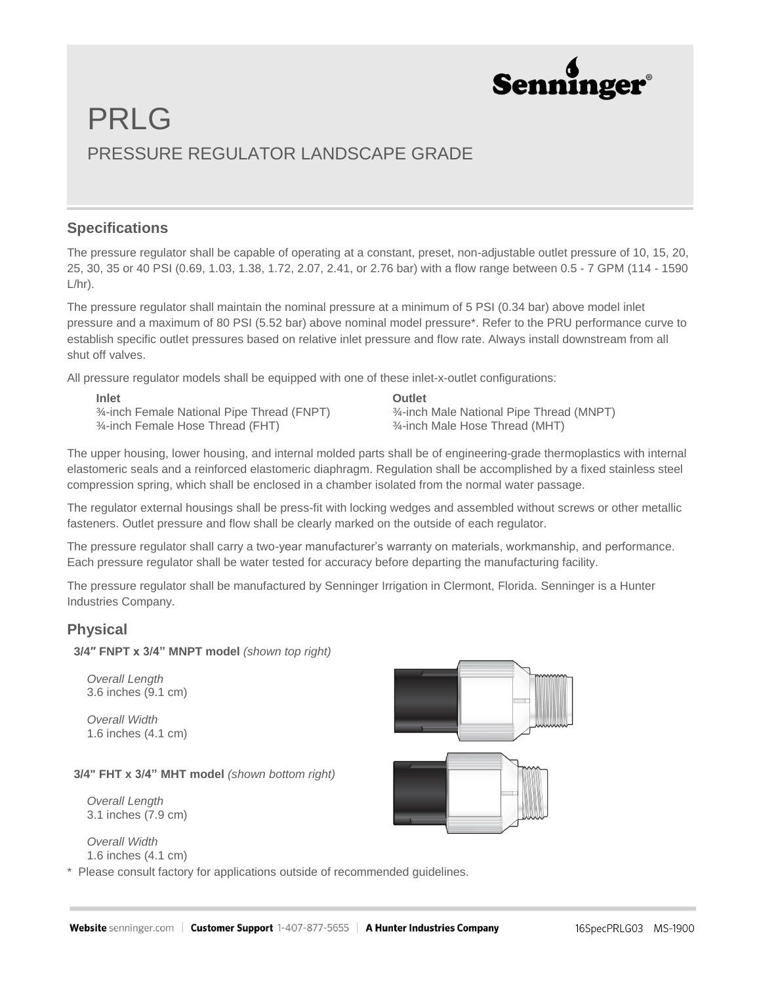

## PRLG PRESSURE REGULATOR LANDSCAPE GRADE

### **Specifications**

The pressure regulator shall be capable of operating at a constant, preset, non-adjustable outlet pressure of 10, 15, 20, 25, 30, 35 or 40 PSI (0.69, 1.03, 1.38, 1.72, 2.07, 2.41, or 2.76 bar) with a flow range between 0.5 - 7 GPM (114 - 1590  $L/hr$ ).

The pressure regulator shall maintain the nominal pressure at a minimum of 5 PSI (0.34 bar) above model inlet pressure and a maximum of 80 PSI (5.52 bar) above nominal model pressure\*. Refer to the PRU performance curve to establish specific outlet pressures based on relative inlet pressure and flow rate. Always install downstream from all shut off valves.

All pressure regulator models shall be equipped with one of these inlet-x-outlet configurations:

**Inlet** ¾-inch Female National Pipe Thread (FNPT) ¾-inch Female Hose Thread (FHT)

**Outlet** ¾-inch Male National Pipe Thread (MNPT) ¾-inch Male Hose Thread (MHT)

The upper housing, lower housing, and internal molded parts shall be of engineering-grade thermoplastics with internal elastomeric seals and a reinforced elastomeric diaphragm. Regulation shall be accomplished by a fixed stainless steel compression spring, which shall be enclosed in a chamber isolated from the normal water passage.

The regulator external housings shall be press-fit with locking wedges and assembled without screws or other metallic fasteners. Outlet pressure and flow shall be clearly marked on the outside of each regulator.

The pressure regulator shall carry a two-year manufacturer's warranty on materials, workmanship, and performance. Each pressure regulator shall be water tested for accuracy before departing the manufacturing facility.

The pressure regulator shall be manufactured by Senninger Irrigation in Clermont, Florida. Senninger is a Hunter Industries Company.

## **Physical**

**3/4″ FNPT x 3/4" MNPT model** *(shown top right)*

 *Overall Length* 3.6 inches (9.1 cm)

 *Overall Width* 1.6 inches (4.1 cm)

#### **3/4" FHT x 3/4" MHT model** *(shown bottom right)*

 *Overall Length* 3.1 inches (7.9 cm)

 *Overall Width* 1.6 inches (4.1 cm)

\* Please consult factory for applications outside of recommended guidelines.